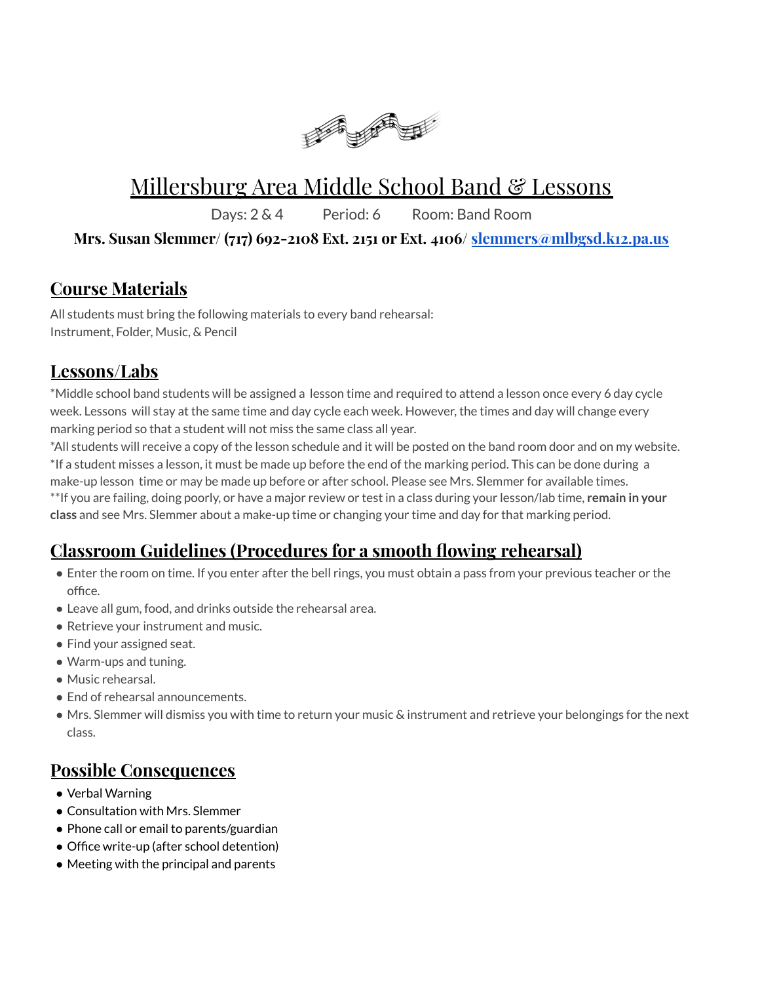

# Millersburg Area Middle School Band & Lessons

Days: 2 & 4 Period: 6 Room: Band Room

#### **Mrs. Susan Slemmer/ (717) 692-2108 Ext. 2151 or Ext. 4106/ [slemmers@mlbgsd.k12.pa.us](mailto:slemmers@mlbgsd.k12.pa.us)**

## **Course Materials**

All students must bring the following materials to every band rehearsal: Instrument, Folder, Music, & Pencil

# **Lessons/Labs**

\*Middle school band students will be assigned a lesson time and required to attend a lesson once every 6 day cycle week. Lessons will stay at the same time and day cycle each week. However, the times and day will change every marking period so that a student will not miss the same class all year.

\*All students will receive a copy of the lesson schedule and it will be posted on the band room door and on my website. \*If a student misses a lesson, it must be made up before the end of the marking period. This can be done during a make-up lesson time or may be made up before or after school. Please see Mrs. Slemmer for available times.

\*\*If you are failing, doing poorly, or have a major review or test in a class during your lesson/lab time, **remain in your class** and see Mrs. Slemmer about a make-up time or changing your time and day for that marking period.

# **Classroom Guidelines (Procedures for a smooth flowing rehearsal)**

- Enter the room on time. If you enter after the bell rings, you must obtain a pass from your previous teacher or the office.
- Leave all gum, food, and drinks outside the rehearsal area.
- Retrieve your instrument and music.
- Find your assigned seat.
- Warm-ups and tuning.
- Music rehearsal.
- End of rehearsal announcements.
- Mrs. Slemmer will dismiss you with time to return your music & instrument and retrieve your belongings for the next class.

## **Possible Consequences**

- Verbal Warning
- Consultation with Mrs. Slemmer
- Phone call or email to parents/guardian
- Office write-up (after school detention)
- Meeting with the principal and parents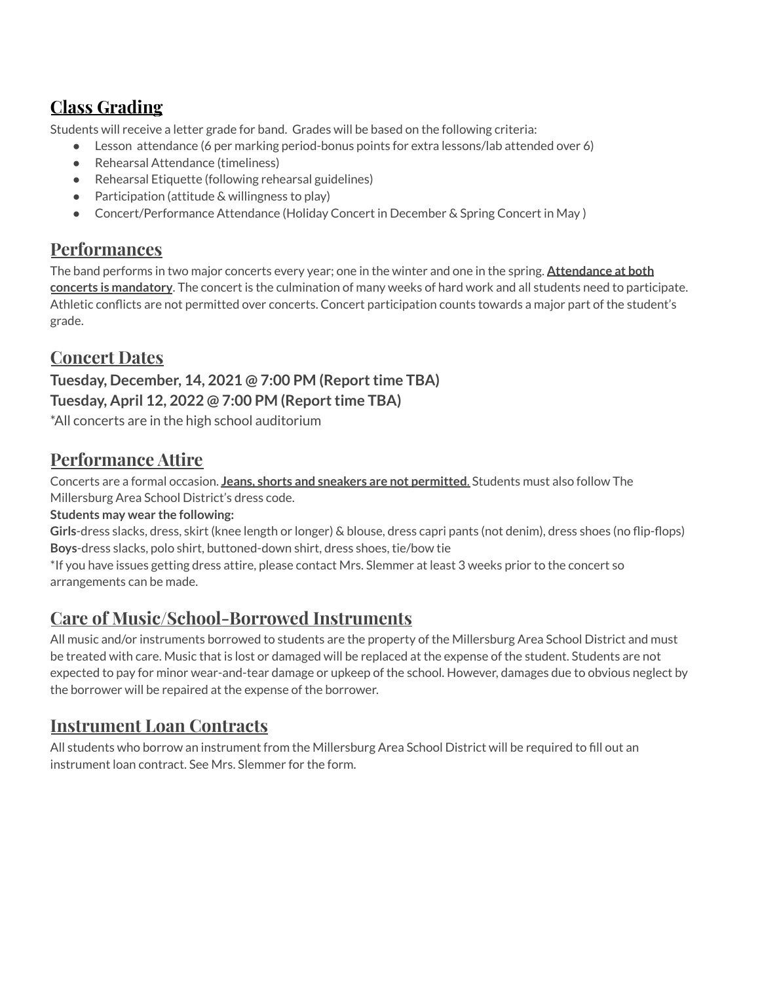# **Class Grading**

Students will receive a letter grade for band. Grades will be based on the following criteria:

- Lesson attendance (6 per marking period-bonus points for extra lessons/lab attended over 6)
- Rehearsal Attendance (timeliness)
- Rehearsal Etiquette (following rehearsal guidelines)
- Participation (attitude & willingness to play)
- Concert/Performance Attendance (Holiday Concert in December & Spring Concert in May)

#### **Performances**

The band performs in two major concerts every year; one in the winter and one in the spring. **Attendance at both concerts is mandatory**. The concert is the culmination of many weeks of hard work and all students need to participate. Athletic conflicts are not permitted over concerts. Concert participation counts towards a major part of the student's grade.

#### **Concert Dates**

#### **Tuesday, December, 14, 2021 @ 7:00 PM (Reporttime TBA) Tuesday, April 12, 2022 @ 7:00 PM (Reporttime TBA)**

\*All concerts are in the high school auditorium

#### **Performance Attire**

Concerts are a formal occasion. **Jeans, shorts and sneakers are not permitted**. Students must also follow The Millersburg Area School District's dress code.

#### **Students may wear the following:**

**Girls**-dress slacks, dress, skirt (knee length or longer) & blouse, dress capri pants (not denim), dress shoes (no flip-flops) **Boys**-dress slacks, polo shirt, buttoned-down shirt, dress shoes, tie/bow tie

\*If you have issues getting dress attire, please contact Mrs. Slemmer at least 3 weeks prior to the concert so arrangements can be made.

## **Care of Music/School-Borrowed Instruments**

All music and/or instruments borrowed to students are the property of the Millersburg Area School District and must be treated with care. Music that is lost or damaged will be replaced at the expense of the student. Students are not expected to pay for minor wear-and-tear damage or upkeep of the school. However, damages due to obvious neglect by the borrower will be repaired at the expense of the borrower.

## **Instrument Loan Contracts**

All students who borrow an instrument from the Millersburg Area School District will be required to fill out an instrument loan contract. See Mrs. Slemmer for the form.